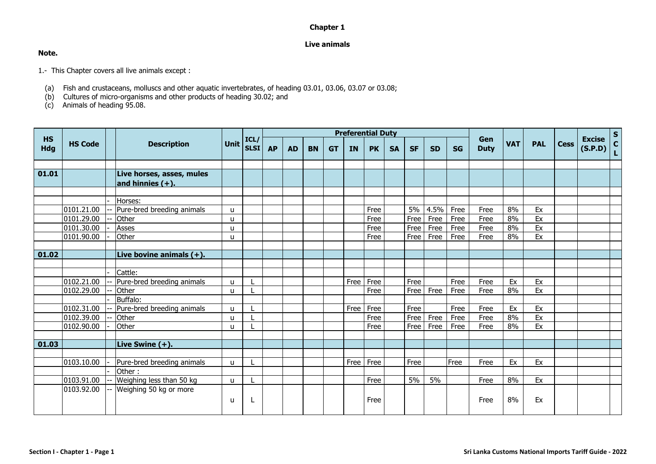## **Chapter 1**

## **Live animals**

## **Note.**

1.- This Chapter covers all live animals except :

- (a) Fish and crustaceans, molluscs and other aquatic invertebrates, of heading 03.01, 03.06, 03.07 or 03.08;
- (b) Cultures of micro-organisms and other products of heading 30.02; and

(c) Animals of heading 95.08.

|                         | <b>HS Code</b> |  | <b>Description</b>                               |                   |                     |           |           |           |           | <b>Preferential Duty</b> |           |           |           |           |           |                    |            |            |             |                          |        |
|-------------------------|----------------|--|--------------------------------------------------|-------------------|---------------------|-----------|-----------|-----------|-----------|--------------------------|-----------|-----------|-----------|-----------|-----------|--------------------|------------|------------|-------------|--------------------------|--------|
| <b>HS</b><br><b>Hdg</b> |                |  |                                                  | <b>Unit</b>       | ICL/<br><b>SLSI</b> | <b>AP</b> | <b>AD</b> | <b>BN</b> | <b>GT</b> | <b>IN</b>                | <b>PK</b> | <b>SA</b> | <b>SF</b> | <b>SD</b> | <b>SG</b> | Gen<br><b>Duty</b> | <b>VAT</b> | <b>PAL</b> | <b>Cess</b> | <b>Excise</b><br>(S.P.D) | S<br>L |
|                         |                |  |                                                  |                   |                     |           |           |           |           |                          |           |           |           |           |           |                    |            |            |             |                          |        |
| 01.01                   |                |  | Live horses, asses, mules<br>and hinnies $(+)$ . |                   |                     |           |           |           |           |                          |           |           |           |           |           |                    |            |            |             |                          |        |
|                         |                |  |                                                  |                   |                     |           |           |           |           |                          |           |           |           |           |           |                    |            |            |             |                          |        |
|                         |                |  | Horses:                                          |                   |                     |           |           |           |           |                          |           |           |           |           |           |                    |            |            |             |                          |        |
|                         | 0101.21.00     |  | Pure-bred breeding animals                       | u                 |                     |           |           |           |           |                          | Free      |           | 5%        | 4.5%      | Free      | Free               | 8%         | Ex         |             |                          |        |
|                         | 0101.29.00     |  | Other                                            | $\mathbf{u}$      |                     |           |           |           |           |                          | Free      |           | Free      | Free      | Free      | Free               | 8%         | Ex         |             |                          |        |
|                         | 0101.30.00     |  | Asses                                            | u                 |                     |           |           |           |           |                          | Free      |           | Free      | Free      | Free      | Free               | 8%         | Ex         |             |                          |        |
|                         | 0101.90.00     |  | Other                                            | u                 |                     |           |           |           |           |                          | Free      |           | Free      | Free      | Free      | Free               | 8%         | Ex         |             |                          |        |
|                         |                |  |                                                  |                   |                     |           |           |           |           |                          |           |           |           |           |           |                    |            |            |             |                          |        |
| 01.02                   |                |  | Live bovine animals $(+)$ .                      |                   |                     |           |           |           |           |                          |           |           |           |           |           |                    |            |            |             |                          |        |
|                         |                |  |                                                  |                   |                     |           |           |           |           |                          |           |           |           |           |           |                    |            |            |             |                          |        |
|                         |                |  | Cattle:                                          |                   |                     |           |           |           |           |                          |           |           | Free      |           | Free      |                    | Ex         | Ex         |             |                          |        |
|                         | 0102.21.00     |  | Pure-bred breeding animals                       | $\mathbf{u}$      |                     |           |           |           |           | Free                     | Free      |           | Free      |           |           | Free               | 8%         |            |             |                          |        |
|                         | 0102.29.00     |  | Other<br>Buffalo:                                | u                 |                     |           |           |           |           |                          | Free      |           |           | Free      | Free      | Free               |            | Ex         |             |                          |        |
|                         | 0102.31.00     |  | Pure-bred breeding animals                       |                   |                     |           |           |           |           | Free                     | Free      |           | Free      |           | Free      | Free               | Ex         | Ex         |             |                          |        |
|                         | 0102.39.00     |  | Other                                            | $\mathbf{u}$<br>u |                     |           |           |           |           |                          | Free      |           | Free      | Free      | Free      | Free               | 8%         | Ex         |             |                          |        |
|                         | 0102.90.00     |  | Other                                            | $\mathbf{u}$      |                     |           |           |           |           |                          | Free      |           | Free      | Free      | Free      | Free               | 8%         | Ex         |             |                          |        |
|                         |                |  |                                                  |                   |                     |           |           |           |           |                          |           |           |           |           |           |                    |            |            |             |                          |        |
| 01.03                   |                |  | Live Swine (+).                                  |                   |                     |           |           |           |           |                          |           |           |           |           |           |                    |            |            |             |                          |        |
|                         |                |  |                                                  |                   |                     |           |           |           |           |                          |           |           |           |           |           |                    |            |            |             |                          |        |
|                         | 0103.10.00     |  | Pure-bred breeding animals                       | u                 |                     |           |           |           |           | Free                     | Free      |           | Free      |           | Free      | Free               | Ex         | Ex         |             |                          |        |
|                         |                |  | Other:                                           |                   |                     |           |           |           |           |                          |           |           |           |           |           |                    |            |            |             |                          |        |
|                         | 0103.91.00     |  | Weighing less than 50 kg                         | u                 |                     |           |           |           |           |                          | Free      |           | 5%        | 5%        |           | Free               | 8%         | Ex         |             |                          |        |
|                         | 0103.92.00     |  | Weighing 50 kg or more                           |                   |                     |           |           |           |           |                          |           |           |           |           |           |                    |            |            |             |                          |        |
|                         |                |  |                                                  | u                 |                     |           |           |           |           |                          | Free      |           |           |           |           | Free               | 8%         | Ex         |             |                          |        |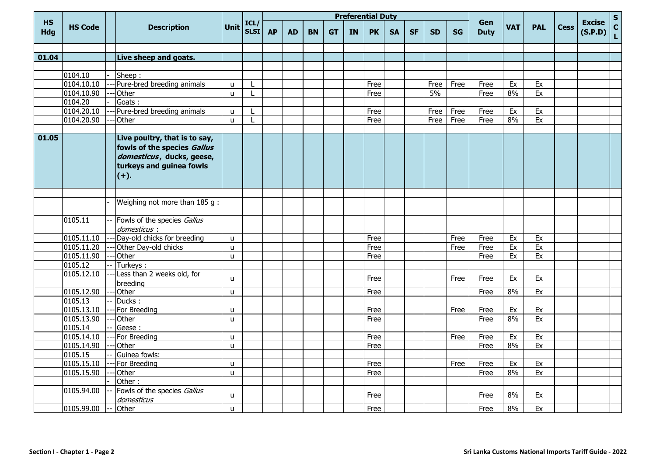|                         |                         |  | <b>Description</b>                                                                                                               |              |                     |           |           |           |           |           | <b>Preferential Duty</b> |           |           |           |           |                    |            |            |             |                          | $\mathsf{s}$               |
|-------------------------|-------------------------|--|----------------------------------------------------------------------------------------------------------------------------------|--------------|---------------------|-----------|-----------|-----------|-----------|-----------|--------------------------|-----------|-----------|-----------|-----------|--------------------|------------|------------|-------------|--------------------------|----------------------------|
| <b>HS</b><br><b>Hdg</b> | <b>HS Code</b>          |  |                                                                                                                                  | <b>Unit</b>  | ICL/<br><b>SLSI</b> | <b>AP</b> | <b>AD</b> | <b>BN</b> | <b>GT</b> | <b>IN</b> | <b>PK</b>                | <b>SA</b> | <b>SF</b> | <b>SD</b> | <b>SG</b> | Gen<br><b>Duty</b> | <b>VAT</b> | <b>PAL</b> | <b>Cess</b> | <b>Excise</b><br>(S.P.D) | $\mathbf c$<br>$\mathbf L$ |
|                         |                         |  |                                                                                                                                  |              |                     |           |           |           |           |           |                          |           |           |           |           |                    |            |            |             |                          |                            |
| 01.04                   |                         |  | Live sheep and goats.                                                                                                            |              |                     |           |           |           |           |           |                          |           |           |           |           |                    |            |            |             |                          |                            |
|                         |                         |  |                                                                                                                                  |              |                     |           |           |           |           |           |                          |           |           |           |           |                    |            |            |             |                          |                            |
|                         | 0104.10                 |  | Sheep:                                                                                                                           |              |                     |           |           |           |           |           |                          |           |           |           |           |                    |            |            |             |                          |                            |
|                         | 0104.10.10              |  | Pure-bred breeding animals                                                                                                       | u            |                     |           |           |           |           |           | Free                     |           |           | Free      | Free      | Free               | Ex         | Ex         |             |                          |                            |
|                         | 0104.10.90              |  | <b>Other</b>                                                                                                                     | u.           |                     |           |           |           |           |           | Free                     |           |           | 5%        |           | Free               | 8%         | Ex         |             |                          |                            |
|                         | 0104.20                 |  | Goats:                                                                                                                           |              |                     |           |           |           |           |           |                          |           |           |           |           |                    |            |            |             |                          |                            |
|                         | 0104.20.10              |  | Pure-bred breeding animals                                                                                                       | u.           |                     |           |           |           |           |           | Free                     |           |           | Free      | Free      | Free               | Ex         | Ex         |             |                          |                            |
|                         | 0104.20.90              |  | <b>Other</b>                                                                                                                     | u.           |                     |           |           |           |           |           | Free                     |           |           | Free      | Free      | Free               | 8%         | Ex         |             |                          |                            |
| 01.05                   |                         |  | Live poultry, that is to say,<br>fowls of the species Gallus<br>domesticus, ducks, geese,<br>turkeys and guinea fowls<br>$(+)$ . |              |                     |           |           |           |           |           |                          |           |           |           |           |                    |            |            |             |                          |                            |
|                         |                         |  |                                                                                                                                  |              |                     |           |           |           |           |           |                          |           |           |           |           |                    |            |            |             |                          |                            |
|                         |                         |  | Weighing not more than 185 g:                                                                                                    |              |                     |           |           |           |           |           |                          |           |           |           |           |                    |            |            |             |                          |                            |
|                         | 0105.11                 |  | Fowls of the species Gallus<br>domesticus :                                                                                      |              |                     |           |           |           |           |           |                          |           |           |           |           |                    |            |            |             |                          |                            |
|                         | 0105.11.10              |  | Day-old chicks for breeding                                                                                                      | u.           |                     |           |           |           |           |           | Free                     |           |           |           | Free      | Free               | Ex         | Ex         |             |                          |                            |
|                         | 0105.11.20              |  | Other Day-old chicks                                                                                                             | u.           |                     |           |           |           |           |           | Free                     |           |           |           | Free      | Free               | Ex         | Ex         |             |                          |                            |
|                         | 0105.11.90              |  | Other                                                                                                                            | u.           |                     |           |           |           |           |           | Free                     |           |           |           |           | Free               | Ex         | Ex         |             |                          |                            |
|                         | 0105.12                 |  | Turkeys:                                                                                                                         |              |                     |           |           |           |           |           |                          |           |           |           |           |                    |            |            |             |                          |                            |
|                         | 0105.12.10              |  | Less than 2 weeks old, for<br>breeding                                                                                           | u.           |                     |           |           |           |           |           | Free                     |           |           |           | Free      | Free               | Ex         | Ex         |             |                          |                            |
|                         | 0105.12.90              |  | Other                                                                                                                            | u            |                     |           |           |           |           |           | Free                     |           |           |           |           | Free               | 8%         | Ex         |             |                          |                            |
|                         | 0105.13                 |  | Ducks:                                                                                                                           |              |                     |           |           |           |           |           |                          |           |           |           |           |                    |            |            |             |                          |                            |
|                         | 0105.13.10              |  | For Breeding                                                                                                                     | u.           |                     |           |           |           |           |           | Free                     |           |           |           | Free      | Free               | Ex         | Ex         |             |                          |                            |
|                         | 0105.13.90              |  | Other                                                                                                                            | u            |                     |           |           |           |           |           | Free                     |           |           |           |           | Free               | 8%         | Ex         |             |                          |                            |
|                         | 0105.14                 |  | Geese:                                                                                                                           |              |                     |           |           |           |           |           |                          |           |           |           |           |                    |            |            |             |                          |                            |
|                         | 0105.14.10              |  | For Breeding                                                                                                                     | u.           |                     |           |           |           |           |           | Free                     |           |           |           | Free      | Free               | Ex         | Ex         |             |                          |                            |
|                         | $\overline{0105.14.90}$ |  | Other                                                                                                                            | u            |                     |           |           |           |           |           | Free                     |           |           |           |           | Free               | 8%         | Ex         |             |                          |                            |
|                         | 0105.15                 |  | Guinea fowls:                                                                                                                    |              |                     |           |           |           |           |           |                          |           |           |           |           |                    |            |            |             |                          |                            |
|                         | 0105.15.10              |  | For Breeding                                                                                                                     | u.           |                     |           |           |           |           |           | Free                     |           |           |           | Free      | Free               | Ex         | Ex         |             |                          |                            |
|                         | 0105.15.90              |  | Other                                                                                                                            | u.           |                     |           |           |           |           |           | Free                     |           |           |           |           | Free               | 8%         | Ex         |             |                          |                            |
|                         |                         |  | Other:                                                                                                                           |              |                     |           |           |           |           |           |                          |           |           |           |           |                    |            |            |             |                          |                            |
|                         | 0105.94.00              |  | Fowls of the species Gallus<br>domesticus                                                                                        | u            |                     |           |           |           |           |           | Free                     |           |           |           |           | Free               | 8%         | Ex         |             |                          |                            |
|                         | 0105.99.00              |  | Other                                                                                                                            | $\mathbf{u}$ |                     |           |           |           |           |           | Free                     |           |           |           |           | Free               | 8%         | Ex         |             |                          |                            |